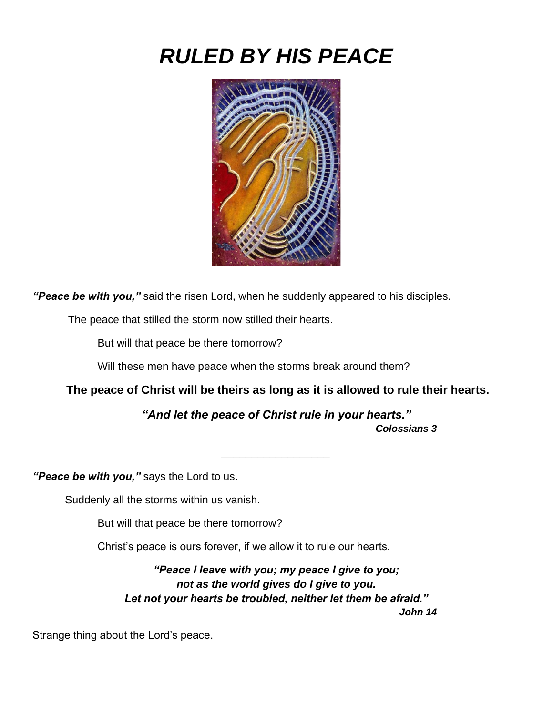## *RULED BY HIS PEACE*



*"Peace be with you,"* said the risen Lord, when he suddenly appeared to his disciples.

The peace that stilled the storm now stilled their hearts.

But will that peace be there tomorrow?

Will these men have peace when the storms break around them?

**The peace of Christ will be theirs as long as it is allowed to rule their hearts.**

*"And let the peace of Christ rule in your hearts."*

*\_\_\_\_\_\_\_\_\_\_\_\_\_\_\_\_\_\_*

*Colossians 3*

*"Peace be with you,"* says the Lord to us.

Suddenly all the storms within us vanish.

But will that peace be there tomorrow?

Christ's peace is ours forever, if we allow it to rule our hearts.

*"Peace I leave with you; my peace I give to you; not as the world gives do I give to you. Let not your hearts be troubled, neither let them be afraid." John 14*

Strange thing about the Lord's peace.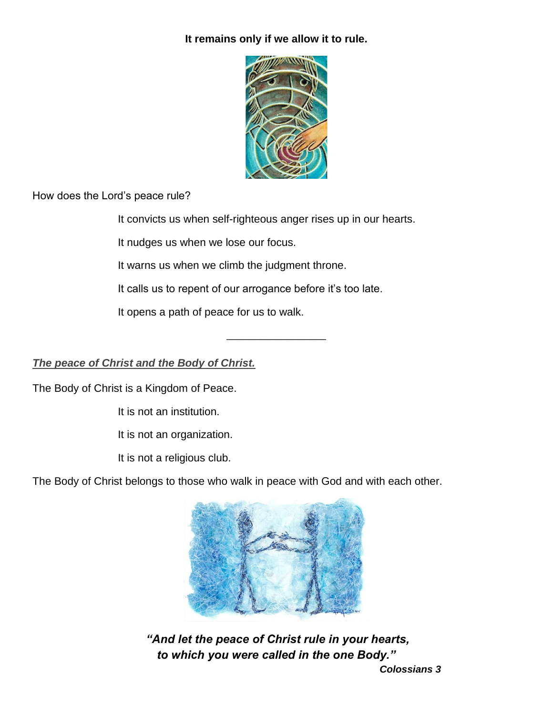## **It remains only if we allow it to rule.**



How does the Lord's peace rule?

It convicts us when self-righteous anger rises up in our hearts.

\_\_\_\_\_\_\_\_\_\_\_\_\_\_\_\_\_\_

It nudges us when we lose our focus.

It warns us when we climb the judgment throne.

It calls us to repent of our arrogance before it's too late.

It opens a path of peace for us to walk.

## *The peace of Christ and the Body of Christ.*

The Body of Christ is a Kingdom of Peace.

It is not an institution.

It is not an organization.

It is not a religious club.

The Body of Christ belongs to those who walk in peace with God and with each other.



*"And let the peace of Christ rule in your hearts, to which you were called in the one Body."*

*Colossians 3*